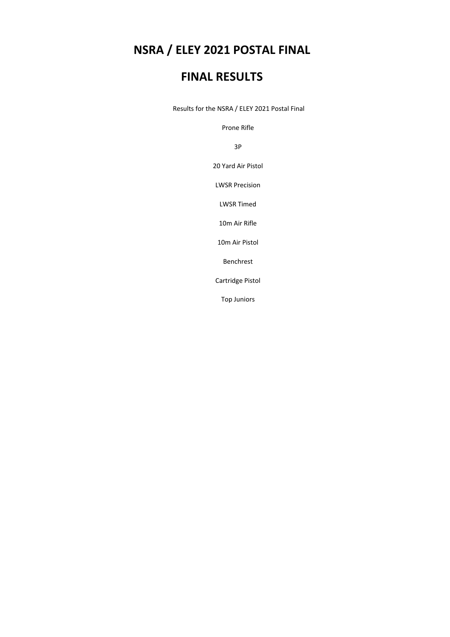## **NSRA / ELEY 2021 POSTAL FINAL**

## **FINAL RESULTS**

Results for the NSRA / ELEY 2021 Postal Final

Prone Rifle

3P

20 Yard Air Pistol

LWSR Precision

LWSR Timed

10m Air Rifle

10m Air Pistol

Benchrest

Cartridge Pistol

Top Juniors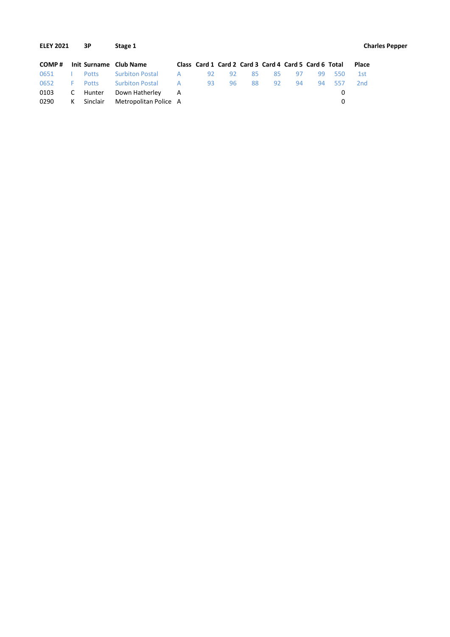| <b>ELEY 2021</b> |    | 3Р           | Stage 1                |   |    |    |    |                                                       |    |    |     |                 | <b>Charles Pepper</b> |
|------------------|----|--------------|------------------------|---|----|----|----|-------------------------------------------------------|----|----|-----|-----------------|-----------------------|
| COMP#            |    |              | Init Surname Club Name |   |    |    |    | Class Card 1 Card 2 Card 3 Card 4 Card 5 Card 6 Total |    |    |     | Place           |                       |
| 0651             |    | <b>Potts</b> | <b>Surbiton Postal</b> | A | 92 | 92 | 85 | 85                                                    | 97 | 99 | 550 | 1st             |                       |
| 0652             | F. | <b>Potts</b> | <b>Surbiton Postal</b> | A | 93 | 96 | 88 | 92                                                    | 94 | 94 | 557 | 2 <sub>nd</sub> |                       |
| 0103             | C  | Hunter       | Down Hatherley         | A |    |    |    |                                                       |    |    | 0   |                 |                       |
| 0290             | К  | Sinclair     | Metropolitan Police A  |   |    |    |    |                                                       |    |    | 0   |                 |                       |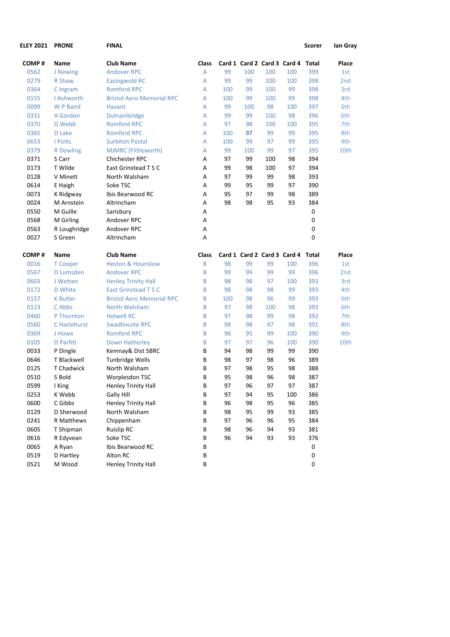| <b>ELEY 2021</b> | <b>PRONE</b>     | <b>FINAL</b>                     |                |     |     |     |                                   | Scorer       | lan Gray        |
|------------------|------------------|----------------------------------|----------------|-----|-----|-----|-----------------------------------|--------------|-----------------|
| COMP#            | Name             | <b>Club Name</b>                 | <b>Class</b>   |     |     |     | Card 1 Card 2 Card 3 Card 4 Total |              | Place           |
| 0562             | J Newing         | <b>Andover RPC</b>               | $\overline{A}$ | 99  | 100 | 100 | 100                               | 399          | 1st             |
| 0279             | R Shaw           | <b>Easingwold RC</b>             | Α              | 99  | 99  | 100 | 100                               | 398          | 2 <sub>nd</sub> |
| 0364             | C Ingram         | <b>Romford RPC</b>               | A              | 100 | 99  | 100 | 99                                | 398          | 3rd             |
| 0155             | I Ashworth       | <b>Bristol Aero Memorial RPC</b> | A              | 100 | 99  | 100 | 99                                | 398          | 4th             |
| 0099             | W P Baird        | Havant                           | A              | 99  | 100 | 98  | 100                               | 397          | 5th             |
| 0331             | A Gordon         | Dulnainbridge                    | A              | 99  | 99  | 100 | 98                                | 396          | 6th             |
| 0370             | G Webb           | <b>Romford RPC</b>               | A              | 97  | 98  | 100 | 100                               | 395          | 7th             |
| 0365             | D Lake           | <b>Romford RPC</b>               | A              | 100 | 97  | 99  | 99                                | 395          | 8th             |
| 0653             | I Potts          | <b>Surbiton Postal</b>           | A              | 100 | 99  | 97  | 99                                | 395          | 9th             |
| 0379             | <b>R</b> Dowling | <b>MJMRC (Fittleworth)</b>       | A              | 99  | 100 | 99  | 97                                | 395          | 10th            |
| 0371             | S Carr           | Chichester RPC                   | Α              | 97  | 99  | 100 | 98                                | 394          |                 |
| 0173             | T Wilde          | East Grinstead T S C             | Α              | 99  | 98  | 100 | 97                                | 394          |                 |
| 0128             | V Minett         | North Walsham                    | Α              | 97  | 99  | 99  | 98                                | 393          |                 |
| 0614             | E Haigh          | Soke TSC                         | Α              | 99  | 95  | 99  | 97                                | 390          |                 |
| 0073             | K Ridgway        | Ibis Bearwood RC                 | Α              | 95  | 97  | 99  | 98                                | 389          |                 |
| 0024             | M Arnstein       | Altrincham                       | Α              | 98  | 98  | 95  | 93                                | 384          |                 |
| 0550             | M Guille         | Sarisbury                        | Α              |     |     |     |                                   | 0            |                 |
| 0568             | M Girling        | Andover RPC                      | Α              |     |     |     |                                   | 0            |                 |
| 0563             | R Loughridge     | Andover RPC                      | А              |     |     |     |                                   | 0            |                 |
| 0027             | S Green          | Altrincham                       | Α              |     |     |     |                                   | 0            |                 |
| COMP#            | Name             | <b>Club Name</b>                 | Class          |     |     |     | Card 1 Card 2 Card 3 Card 4       | <b>Total</b> | Place           |
| 0016             | <b>T</b> Cooper  | <b>Heston &amp; Hounslow</b>     | B              | 98  | 99  | 99  | 100                               | 396          | 1st             |
| 0567             | <b>D</b> Lumsden | <b>Andover RPC</b>               | B              | 99  | 99  | 99  | 99                                | 396          | 2 <sub>nd</sub> |
| 0603             | J Wetten         | <b>Henley Trinity Hall</b>       | B              | 98  | 98  | 97  | 100                               | 393          | 3rd             |
| 0172             | D White          | East Grinstead T S C             | B              | 98  | 98  | 98  | 99                                | 393          | 4th             |
| 0157             | <b>K</b> Butler  | <b>Bristol Aero Memorial RPC</b> | B              | 100 | 98  | 96  | 99                                | 393          | 5th             |
| 0123             | C Abbs           | North Walsham                    | B              | 97  | 98  | 100 | 98                                | 393          | 6th             |
| 0460             | P Thornton       | <b>Holwell RC</b>                | B              | 97  | 98  | 99  | 98                                | 392          | 7th             |
| 0560             | C Hazlehurst     | <b>Swadlincote RPC</b>           | B              | 98  | 98  | 97  | 98                                | 391          | 8th             |
| 0369             | J Howe           | <b>Romford RPC</b>               | B              | 96  | 95  | 99  | 100                               | 390          | 9th             |
| 0105             | D Parfitt        | <b>Down Hatherley</b>            | B              | 97  | 97  | 96  | 100                               | 390          | 10th            |
| 0033             | P Dingle         | Kemnay& Dist SBRC                | В              | 94  | 98  | 99  | 99                                | 390          |                 |
| 0646             | T Blackwell      | Tunbridge Wells                  | B              | 98  | 97  | 98  | 96                                | 389          |                 |
| 0125             | T Chadwick       | North Walsham                    | B              | 97  | 98  | 95  | 98                                | 388          |                 |
| 0510             | S Bold           | Worplesdon TSC                   | B              | 95  | 98  | 96  | 98                                | 387          |                 |
| 0599             | I King           | Henley Trinity Hall              | B              | 97  | 96  | 97  | 97                                | 387          |                 |
| 0253             | K Webb           | Gally Hill                       | B              | 97  | 94  | 95  | 100                               | 386          |                 |
| 0600             | C Gibbs          | <b>Henley Trinity Hall</b>       | В              | 96  | 98  | 95  | 96                                | 385          |                 |
| 0129             | D Sherwood       | North Walsham                    | B              | 98  | 95  | 99  | 93                                | 385          |                 |
| 0241             | R Matthews       | Chippenham                       | B              | 97  | 96  | 96  | 95                                | 384          |                 |
| 0605             | T Shipman        | <b>Ruislip RC</b>                | В              | 98  | 96  | 94  | 93                                | 381          |                 |
| 0616             | R Edyvean        | Soke TSC                         | В              | 96  | 94  | 93  | 93                                | 376          |                 |
| 0065             | A Ryan           | Ibis Bearwood RC                 | В              |     |     |     |                                   | $\pmb{0}$    |                 |
| 0519             | D Hartley        | Alton RC                         | В              |     |     |     |                                   | 0            |                 |
| 0521             | M Wood           | Henley Trinity Hall              | B              |     |     |     |                                   | 0            |                 |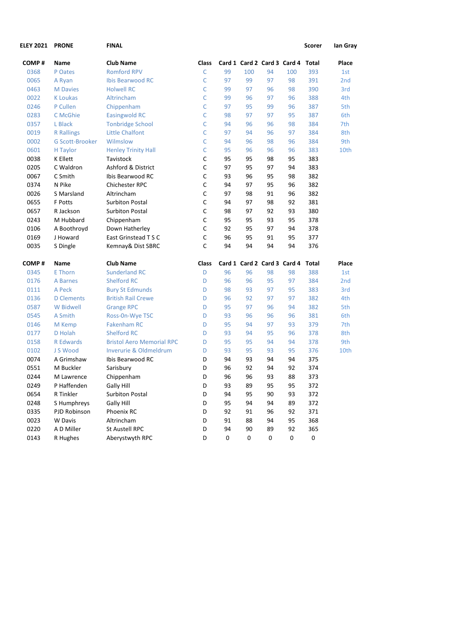| <b>ELEY 2021</b> | <b>PRONE</b>           | <b>FINAL</b>                     |       |    |     |    |                                   | Scorer    | lan Gray        |
|------------------|------------------------|----------------------------------|-------|----|-----|----|-----------------------------------|-----------|-----------------|
| COMP#            | Name                   | <b>Club Name</b>                 | Class |    |     |    | Card 1 Card 2 Card 3 Card 4 Total |           | Place           |
| 0368             | P Oates                | <b>Romford RPV</b>               | C     | 99 | 100 | 94 | 100                               | 393       | 1st             |
| 0065             | A Ryan                 | <b>Ibis Bearwood RC</b>          | C     | 97 | 99  | 97 | 98                                | 391       | 2 <sub>nd</sub> |
| 0463             | <b>M</b> Davies        | <b>Holwell RC</b>                | C     | 99 | 97  | 96 | 98                                | 390       | 3rd             |
| 0022             | <b>K</b> Loukas        | Altrincham                       | C     | 99 | 96  | 97 | 96                                | 388       | 4th             |
| 0246             | P Cullen               | Chippenham                       | C     | 97 | 95  | 99 | 96                                | 387       | 5th             |
| 0283             | C McGhie               | <b>Easingwold RC</b>             | C     | 98 | 97  | 97 | 95                                | 387       | 6th             |
| 0357             | L Black                | <b>Tonbridge School</b>          | C     | 94 | 96  | 96 | 98                                | 384       | 7th             |
| 0019             | <b>R</b> Rallings      | <b>Little Chalfont</b>           | C     | 97 | 94  | 96 | 97                                | 384       | 8th             |
| 0002             | <b>G Scott-Brooker</b> | Wilmslow                         | C     | 94 | 96  | 98 | 96                                | 384       | 9th             |
| 0601             | H Taylor               | <b>Henley Trinity Hall</b>       | C     | 95 | 96  | 96 | 96                                | 383       | 10th            |
| 0038             | <b>K</b> Ellett        | Tavistock                        | C     | 95 | 95  | 98 | 95                                | 383       |                 |
| 0205             | C Waldron              | Ashford & District               | С     | 97 | 95  | 97 | 94                                | 383       |                 |
| 0067             | C Smith                | Ibis Bearwood RC                 | C     | 93 | 96  | 95 | 98                                | 382       |                 |
| 0374             | N Pike                 | <b>Chichester RPC</b>            | С     | 94 | 97  | 95 | 96                                | 382       |                 |
| 0026             | S Marsland             | Altrincham                       | C     | 97 | 98  | 91 | 96                                | 382       |                 |
| 0655             | F Potts                | <b>Surbiton Postal</b>           | C     | 94 | 97  | 98 | 92                                | 381       |                 |
| 0657             | R Jackson              | <b>Surbiton Postal</b>           | C     | 98 | 97  | 92 | 93                                | 380       |                 |
| 0243             | M Hubbard              | Chippenham                       | С     | 95 | 95  | 93 | 95                                | 378       |                 |
| 0106             | A Boothroyd            | Down Hatherley                   | C     | 92 | 95  | 97 | 94                                | 378       |                 |
| 0169             | J Howard               | East Grinstead T S C             | С     | 96 | 95  | 91 | 95                                | 377       |                 |
| 0035             | S Dingle               | Kemnay& Dist SBRC                | C     | 94 | 94  | 94 | 94                                | 376       |                 |
| COMP#            | Name                   | <b>Club Name</b>                 | Class |    |     |    | Card 1 Card 2 Card 3 Card 4 Total |           | Place           |
| 0345             | E Thorn                | <b>Sunderland RC</b>             | D     | 96 | 96  | 98 | 98                                | 388       | 1st             |
| 0176             | A Barnes               | <b>Shelford RC</b>               | D     | 96 | 96  | 95 | 97                                | 384       | 2 <sub>nd</sub> |
| 0111             | A Peck                 | <b>Bury St Edmunds</b>           | D     | 98 | 93  | 97 | 95                                | 383       | 3rd             |
| 0136             | <b>D</b> Clements      | <b>British Rail Crewe</b>        | D     | 96 | 92  | 97 | 97                                | 382       | 4th             |
| 0587             | W Bidwell              | <b>Grange RPC</b>                | D     | 95 | 97  | 96 | 94                                | 382       | 5th             |
| 0545             | A Smith                | Ross-On-Wye TSC                  | D     | 93 | 96  | 96 | 96                                | 381       | 6th             |
| 0146             | M Kemp                 | <b>Fakenham RC</b>               | D     | 95 | 94  | 97 | 93                                | 379       | 7th             |
| 0177             | D Holah                | <b>Shelford RC</b>               | D     | 93 | 94  | 95 | 96                                | 378       | 8th             |
| 0158             | <b>R</b> Edwards       | <b>Bristol Aero Memorial RPC</b> | D     | 95 | 95  | 94 | 94                                | 378       | 9th             |
| 0102             | J S Wood               | Inverurie & Oldmeldrum           | D     | 93 | 95  | 93 | 95                                | 376       | 10th            |
| 0074             | A Grimshaw             | Ibis Bearwood RC                 | D     | 94 | 93  | 94 | 94                                | 375       |                 |
| 0551             | M Buckler              | Sarisbury                        | D     | 96 | 92  | 94 | 92                                | 374       |                 |
| 0244             | M Lawrence             | Chippenham                       | D     | 96 | 96  | 93 | 88                                | 373       |                 |
| 0249             | P Haffenden            | Gally Hill                       | D     | 93 | 89  | 95 | 95                                | 372       |                 |
| 0654             | R Tinkler              | <b>Surbiton Postal</b>           | D     | 94 | 95  | 90 | 93                                | 372       |                 |
| 0248             | S Humphreys            | Gally Hill                       | D     | 95 | 94  | 94 | 89                                | 372       |                 |
| 0335             | PJD Robinson           | Phoenix RC                       | D     | 92 | 91  | 96 | 92                                | 371       |                 |
| 0023             | W Davis                | Altrincham                       | D     | 91 | 88  | 94 | 95                                | 368       |                 |
| 0220             | A D Miller             | St Austell RPC                   | D     | 94 | 90  | 89 | 92                                | 365       |                 |
| 0143             | R Hughes               | Aberystwyth RPC                  | D     | 0  | 0   | 0  | 0                                 | $\pmb{0}$ |                 |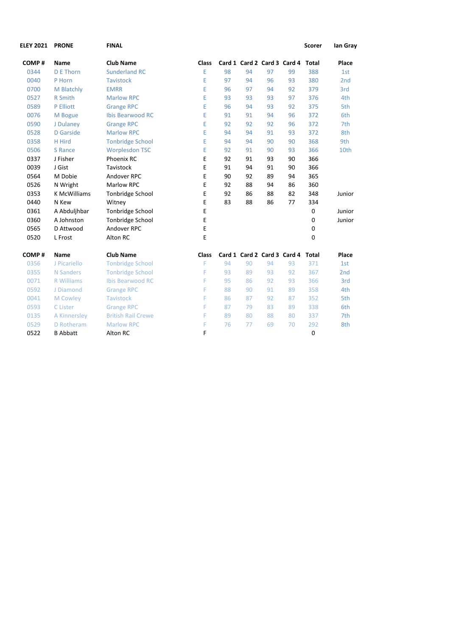| <b>ELEY 2021</b> | <b>PRONE</b>        | <b>FINAL</b>              |       |    |    |    |                                   | <b>Scorer</b> | lan Gray |
|------------------|---------------------|---------------------------|-------|----|----|----|-----------------------------------|---------------|----------|
| COMP#            | Name                | <b>Club Name</b>          | Class |    |    |    | Card 1 Card 2 Card 3 Card 4 Total |               | Place    |
| 0344             | <b>D E Thorn</b>    | <b>Sunderland RC</b>      | E     | 98 | 94 | 97 | 99                                | 388           | 1st      |
| 0040             | P Horn              | <b>Tavistock</b>          | E     | 97 | 94 | 96 | 93                                | 380           | 2nd      |
| 0700             | M Blatchly          | <b>EMRR</b>               | E     | 96 | 97 | 94 | 92                                | 379           | 3rd      |
| 0527             | R Smith             | <b>Marlow RPC</b>         | E     | 93 | 93 | 93 | 97                                | 376           | 4th      |
| 0589             | P Elliott           | <b>Grange RPC</b>         | E     | 96 | 94 | 93 | 92                                | 375           | 5th      |
| 0076             | M Bogue             | <b>Ibis Bearwood RC</b>   | E     | 91 | 91 | 94 | 96                                | 372           | 6th      |
| 0590             | J Dulaney           | <b>Grange RPC</b>         | E     | 92 | 92 | 92 | 96                                | 372           | 7th      |
| 0528             | D Garside           | <b>Marlow RPC</b>         | E     | 94 | 94 | 91 | 93                                | 372           | 8th      |
| 0358             | H Hird              | <b>Tonbridge School</b>   | E     | 94 | 94 | 90 | 90                                | 368           | 9th      |
| 0506             | <b>S</b> Rance      | <b>Worplesdon TSC</b>     | E     | 92 | 91 | 90 | 93                                | 366           | 10th     |
| 0337             | J Fisher            | Phoenix RC                | E     | 92 | 91 | 93 | 90                                | 366           |          |
| 0039             | J Gist              | Tavistock                 | E     | 91 | 94 | 91 | 90                                | 366           |          |
| 0564             | M Dobie             | Andover RPC               | E     | 90 | 92 | 89 | 94                                | 365           |          |
| 0526             | N Wright            | <b>Marlow RPC</b>         | E     | 92 | 88 | 94 | 86                                | 360           |          |
| 0353             | <b>K McWilliams</b> | <b>Tonbridge School</b>   | E     | 92 | 86 | 88 | 82                                | 348           | Junior   |
| 0440             | N Kew               | Witney                    | E     | 83 | 88 | 86 | 77                                | 334           |          |
| 0361             | A Abduljhbar        | Tonbridge School          | E     |    |    |    |                                   | 0             | Junior   |
| 0360             | A Johnston          | <b>Tonbridge School</b>   | E     |    |    |    |                                   | 0             | Junior   |
| 0565             | D Attwood           | Andover RPC               | E     |    |    |    |                                   | 0             |          |
| 0520             | L Frost             | Alton RC                  | E     |    |    |    |                                   | $\mathbf 0$   |          |
| COMP#            | Name                | <b>Club Name</b>          | Class |    |    |    | Card 1 Card 2 Card 3 Card 4       | <b>Total</b>  | Place    |
| 0356             | J Picariello        | <b>Tonbridge School</b>   | F     | 94 | 90 | 94 | 93                                | 371           | 1st      |
| 0355             | <b>N</b> Sanders    | <b>Tonbridge School</b>   | F     | 93 | 89 | 93 | 92                                | 367           | 2nd      |
| 0071             | <b>R</b> Williams   | <b>Ibis Bearwood RC</b>   | F     | 95 | 86 | 92 | 93                                | 366           | 3rd      |
| 0592             | J Diamond           | <b>Grange RPC</b>         | F     | 88 | 90 | 91 | 89                                | 358           | 4th      |
| 0041             | M Cowley            | <b>Tavistock</b>          | F     | 86 | 87 | 92 | 87                                | 352           | 5th      |
| 0593             | C Lister            | <b>Grange RPC</b>         | F     | 87 | 79 | 83 | 89                                | 338           | 6th      |
| 0135             | A Kinnersley        | <b>British Rail Crewe</b> | F     | 89 | 80 | 88 | 80                                | 337           | 7th      |
| 0529             | D Rotheram          | <b>Marlow RPC</b>         | F     | 76 | 77 | 69 | 70                                | 292           | 8th      |
| 0522             | <b>B</b> Abbatt     | Alton RC                  | F     |    |    |    |                                   | $\mathbf 0$   |          |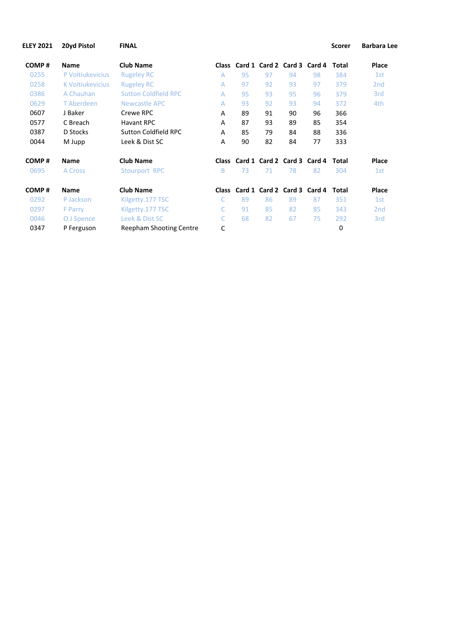| <b>ELEY 2021</b> | 20yd Pistol      | <b>FINAL</b>                   |              |    |    |    |                                   | <b>Scorer</b> | <b>Barbara Lee</b> |
|------------------|------------------|--------------------------------|--------------|----|----|----|-----------------------------------|---------------|--------------------|
| COMP#            | <b>Name</b>      | <b>Club Name</b>               | <b>Class</b> |    |    |    | Card 1 Card 2 Card 3 Card 4       | Total         | Place              |
| 0255             | P Voitiukevicius | <b>Rugeley RC</b>              | A            | 95 | 97 | 94 | 98                                | 384           | 1st                |
| 0258             | K Voitiukevicius | <b>Rugeley RC</b>              | A            | 97 | 92 | 93 | 97                                | 379           | 2 <sub>nd</sub>    |
| 0386             | A Chauhan        | <b>Sutton Coldfield RPC</b>    | A            | 95 | 93 | 95 | 96                                | 379           | 3rd                |
| 0629             | T Aberdeen       | Newcastle APC                  | A            | 93 | 92 | 93 | 94                                | 372           | 4th                |
| 0607             | J Baker          | Crewe RPC                      | A            | 89 | 91 | 90 | 96                                | 366           |                    |
| 0577             | C Breach         | <b>Havant RPC</b>              | A            | 87 | 93 | 89 | 85                                | 354           |                    |
| 0387             | D Stocks         | <b>Sutton Coldfield RPC</b>    | Α            | 85 | 79 | 84 | 88                                | 336           |                    |
| 0044             | M Jupp           | Leek & Dist SC                 | A            | 90 | 82 | 84 | 77                                | 333           |                    |
| COMP#            | <b>Name</b>      | <b>Club Name</b>               | <b>Class</b> |    |    |    | Card 1 Card 2 Card 3 Card 4       | <b>Total</b>  | Place              |
| 0695             | A Cross          | Stourport RPC                  | B            | 73 | 71 | 78 | 82                                | 304           | 1st                |
| COMP#            | <b>Name</b>      | <b>Club Name</b>               |              |    |    |    | Class Card 1 Card 2 Card 3 Card 4 | Total         | Place              |
| 0292             | P Jackson        | Kilgetty.177 TSC               | C            | 89 | 86 | 89 | 87                                | 351           | 1st                |
| 0297             | F Parry          | Kilgetty.177 TSC               |              | 91 | 85 | 82 | 85                                | 343           | 2 <sub>nd</sub>    |
| 0046             | O J Spence       | Leek & Dist SC                 |              | 68 | 82 | 67 | 75                                | 292           | 3rd                |
| 0347             | P Ferguson       | <b>Reepham Shooting Centre</b> | С            |    |    |    |                                   | 0             |                    |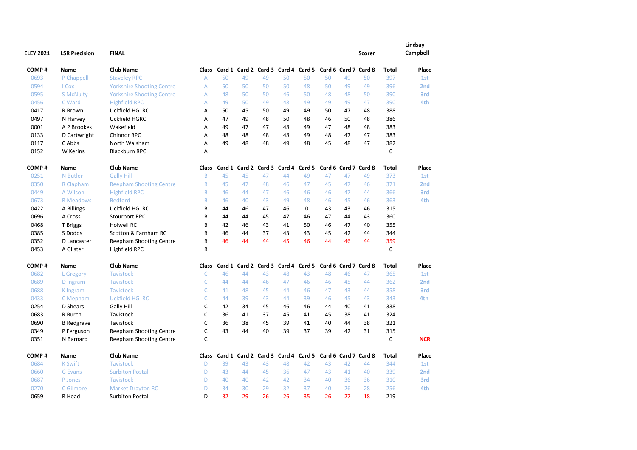| <b>ELEY 2021</b> | <b>LSR Precision</b> | <b>FINAL</b>                     |                |    |    |                      |                                                               |               |    |    | <b>Scorer</b>        |              | Lindsay<br>Campbell |
|------------------|----------------------|----------------------------------|----------------|----|----|----------------------|---------------------------------------------------------------|---------------|----|----|----------------------|--------------|---------------------|
| COMP#            | <b>Name</b>          | <b>Club Name</b>                 |                |    |    |                      | Class Card 1 Card 2 Card 3 Card 4 Card 5 Card 6 Card 7 Card 8 |               |    |    |                      | <b>Total</b> | <b>Place</b>        |
| 0693             | P Chappell           | <b>Staveley RPC</b>              | $\overline{A}$ | 50 | 49 | 49                   | 50                                                            | 50            | 50 | 49 | 50                   | 397          | 1st                 |
| 0594             | I Cox                | <b>Yorkshire Shooting Centre</b> | A              | 50 | 50 | 50                   | 50                                                            | 48            | 50 | 49 | 49                   | 396          | 2nd                 |
| 0595             | <b>S McNulty</b>     | <b>Yorkshire Shooting Centre</b> | $\overline{A}$ | 48 | 50 | 50                   | 46                                                            | 50            | 48 | 48 | 50                   | 390          | 3rd                 |
| 0456             | C Ward               | <b>Highfield RPC</b>             | $\overline{A}$ | 49 | 50 | 49                   | 48                                                            | 49            | 49 | 49 | 47                   | 390          | 4th                 |
| 0417             | R Brown              | Uckfield HG RC                   | A              | 50 | 45 | 50                   | 49                                                            | 49            | 50 | 47 | 48                   | 388          |                     |
| 0497             | N Harvey             | Uckfield HGRC                    | Α              | 47 | 49 | 48                   | 50                                                            | 48            | 46 | 50 | 48                   | 386          |                     |
| 0001             | A P Brookes          | Wakefield                        | Α              | 49 | 47 | 47                   | 48                                                            | 49            | 47 | 48 | 48                   | 383          |                     |
| 0133             | D Cartwright         | Chinnor RPC                      | A              | 48 | 48 | 48                   | 48                                                            | 49            | 48 | 47 | 47                   | 383          |                     |
| 0117             | C Abbs               | North Walsham                    | Α              | 49 | 48 | 48                   | 49                                                            | 48            | 45 | 48 | 47                   | 382          |                     |
| 0152             | <b>W</b> Kerins      | <b>Blackburn RPC</b>             | A              |    |    |                      |                                                               |               |    |    |                      | $\mathbf 0$  |                     |
| COMP#            | Name                 | <b>Club Name</b>                 | Class          |    |    | Card 1 Card 2 Card 3 |                                                               | Card 4 Card 5 |    |    | Card 6 Card 7 Card 8 | Total        | Place               |
| 0251             | N Butler             | <b>Gally Hill</b>                | $\mathsf B$    | 45 | 45 | 47                   | 44                                                            | 49            | 47 | 47 | 49                   | 373          | 1st                 |
| 0350             | R Clapham            | <b>Reepham Shooting Centre</b>   | B              | 45 | 47 | 48                   | 46                                                            | 47            | 45 | 47 | 46                   | 371          | 2 <sub>nd</sub>     |
| 0449             | A Wilson             | <b>Highfield RPC</b>             | B              | 46 | 44 | 47                   | 46                                                            | 46            | 46 | 47 | 44                   | 366          | 3rd                 |
| 0673             | <b>R</b> Meadows     | <b>Bedford</b>                   | B              | 46 | 40 | 43                   | 49                                                            | 48            | 46 | 45 | 46                   | 363          | 4th                 |
| 0422             | A Billings           | Uckfield HG RC                   | B              | 44 | 46 | 47                   | 46                                                            | 0             | 43 | 43 | 46                   | 315          |                     |
| 0696             | A Cross              | Stourport RPC                    | B              | 44 | 44 | 45                   | 47                                                            | 46            | 47 | 44 | 43                   | 360          |                     |
| 0468             | T Briggs             | Holwell RC                       | B              | 42 | 46 | 43                   | 41                                                            | 50            | 46 | 47 | 40                   | 355          |                     |
| 0385             | S Dodds              | Scotton & Farnham RC             | B              | 46 | 44 | 37                   | 43                                                            | 43            | 45 | 42 | 44                   | 344          |                     |
| 0352             | D Lancaster          | Reepham Shooting Centre          | B              | 46 | 44 | 44                   | 45                                                            | 46            | 44 | 46 | 44                   | 359          |                     |
| 0453             | A Glister            | <b>Highfield RPC</b>             | B              |    |    |                      |                                                               |               |    |    |                      | $\mathbf 0$  |                     |
| COMP#            | Name                 | <b>Club Name</b>                 | Class          |    |    |                      | Card 1 Card 2 Card 3 Card 4 Card 5 Card 6 Card 7 Card 8       |               |    |    |                      | <b>Total</b> | Place               |
| 0682             | L Gregory            | <b>Tavistock</b>                 | $\mathsf{C}$   | 46 | 44 | 43                   | 48                                                            | 43            | 48 | 46 | 47                   | 365          | 1st                 |
| 0689             | D Ingram             | <b>Tavistock</b>                 | $\mathsf{C}$   | 44 | 44 | 46                   | 47                                                            | 46            | 46 | 45 | 44                   | 362          | 2nd                 |
| 0688             | K Ingram             | <b>Tavistock</b>                 | $\mathsf{C}$   | 41 | 48 | 45                   | 44                                                            | 46            | 47 | 43 | 44                   | 358          | 3rd                 |
| 0433             | C Mepham             | <b>Uckfield HG RC</b>            | C              | 44 | 39 | 43                   | 44                                                            | 39            | 46 | 45 | 43                   | 343          | 4th                 |
| 0254             | D Shears             | Gally Hill                       | C              | 42 | 34 | 45                   | 46                                                            | 46            | 44 | 40 | 41                   | 338          |                     |
| 0683             | R Burch              | Tavistock                        | $\mathsf{C}$   | 36 | 41 | 37                   | 45                                                            | 41            | 45 | 38 | 41                   | 324          |                     |
| 0690             | <b>B</b> Redgrave    | Tavistock                        | C              | 36 | 38 | 45                   | 39                                                            | 41            | 40 | 44 | 38                   | 321          |                     |
| 0349             | P Ferguson           | <b>Reepham Shooting Centre</b>   | $\mathsf{C}$   | 43 | 44 | 40                   | 39                                                            | 37            | 39 | 42 | 31                   | 315          |                     |
| 0351             | N Barnard            | <b>Reepham Shooting Centre</b>   | $\mathsf{C}$   |    |    |                      |                                                               |               |    |    |                      | 0            | <b>NCR</b>          |
| COMP#            | <b>Name</b>          | <b>Club Name</b>                 | Class          |    |    |                      | Card 1 Card 2 Card 3 Card 4 Card 5 Card 6 Card 7 Card 8       |               |    |    |                      | <b>Total</b> | Place               |
| 0684             | <b>K Swift</b>       | <b>Tavistock</b>                 | D              | 39 | 43 | 43                   | 48                                                            | 42            | 43 | 42 | 44                   | 344          | 1st                 |
| 0660             | <b>G</b> Evans       | <b>Surbiton Postal</b>           | D              | 43 | 44 | 45                   | 36                                                            | 47            | 43 | 41 | 40                   | 339          | 2nd                 |
| 0687             | P Jones              | <b>Tavistock</b>                 | D              | 40 | 40 | 42                   | 42                                                            | 34            | 40 | 36 | 36                   | 310          | 3rd                 |
| 0270             | C Gilmore            | <b>Market Drayton RC</b>         | D              | 34 | 30 | 29                   | 32                                                            | 37            | 40 | 26 | 28                   | 256          | 4th                 |
| 0659             | R Hoad               | <b>Surbiton Postal</b>           | D              | 32 | 29 | 26                   | 26                                                            | 35            | 26 | 27 | 18                   | 219          |                     |
|                  |                      |                                  |                |    |    |                      |                                                               |               |    |    |                      |              |                     |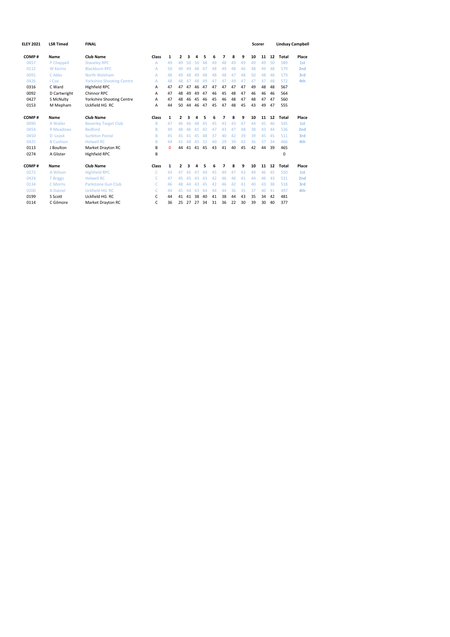| <b>ELEY 2021</b> | <b>LSR Timed</b> | <b>FINAL</b>                     |       |              |                          |    |                       |    |    |    |    |    |    | Scorer |    |       | <b>Lindsay Campbell</b> |
|------------------|------------------|----------------------------------|-------|--------------|--------------------------|----|-----------------------|----|----|----|----|----|----|--------|----|-------|-------------------------|
|                  |                  |                                  |       |              |                          |    |                       |    |    |    |    |    |    |        |    |       |                         |
| COMP#            | Name             | <b>Club Name</b>                 | Class | $\mathbf{1}$ | $\overline{2}$           | 3  | Δ                     | 5  | 6  | 7  | 8  | 9  | 10 | 11     | 12 | Total | Place                   |
| 0457             | P Chappell       | <b>Staveley RPC</b>              | A     | 49           | 49                       | 50 | 50                    | 48 | 49 | 48 | 49 | 49 | 49 | 49     | 50 | 589   | 1st                     |
| 0112             | <b>W</b> Kerins  | <b>Blackburn RPC</b>             | A     | 50           | 49                       | 49 | 48                    | 47 | 48 | 49 | 48 | 46 | 48 | 49     | 48 | 579   | 2 <sub>nd</sub>         |
| 0091             | C Abbs           | North Walsham                    | A     | 48           | 49                       | 48 | $\Delta$ <sup>Q</sup> | 48 | 48 | 48 | 47 | 48 | 50 | 48     | 48 | 579   | 3rd                     |
| 0426             | I Cox            | <b>Yorkshire Shooting Centre</b> | A     | 48           | 48                       | 47 | 48                    | 49 | 47 | 47 | 49 | 47 | 47 | 47     | 48 | 572   | 4th                     |
| 0316             | C Ward           | <b>Highfield RPC</b>             | A     | 47           | 47                       | 47 | 46                    | 47 | 47 | 47 | 47 | 47 | 49 | 48     | 48 | 567   |                         |
| 0092             | D Cartwright     | Chinnor RPC                      | А     | 47           | 48                       | 49 | 49                    | 47 | 46 | 45 | 48 | 47 | 46 | 46     | 46 | 564   |                         |
| 0427             | S McNulty        | <b>Yorkshire Shooting Centre</b> | А     | 47           | 48                       | 46 | 45                    | 46 | 45 | 46 | 48 | 47 | 48 | 47     | 47 | 560   |                         |
| 0153             | M Mepham         | Uckfield HG RC                   | А     | 44           | 50                       | 44 | 46                    | 47 | 45 | 47 | 48 | 45 | 43 | 49     | 47 | 555   |                         |
| COMP#            | Name             | Club Name                        | Class | $\mathbf{1}$ | $\overline{\phantom{a}}$ |    | Δ                     | 5  | 6  | 7  | 8  | 9  | 10 | 11     | 12 | Total | Place                   |
| 0090             | A Waller         | <b>Beverley Target Club</b>      | B     | 47           | 46                       | 46 | 48                    | 45 | 45 | 43 | 43 | 47 | 44 | 45     | 46 | 545   | 1st                     |
| 0454             | R Meadows        | <b>Bedford</b>                   | B     | 49           | 48                       | 46 | 41                    | 42 | 47 | 43 | 47 | 48 | 38 | 43     | 44 | 536   | 2 <sub>nd</sub>         |
| 0450             | D Leask          | <b>Surbiton Postal</b>           | B     | 45           | 45                       | 41 | 45                    | 48 | 37 | 40 | 42 | 39 | 39 | 45     | 45 | 511   | 3rd                     |
| 0425             | <b>B</b> Cushion | <b>Holwell RC</b>                | B     | 44           | 41                       | 48 | 45                    | 31 | 40 | 29 | 39 | 42 | 36 | 37     | 34 | 466   | 4th                     |
| 0113             | J Boulton        | Market Drayton RC                | В     | $\mathbf 0$  | 44                       |    | 41 41 45              |    | 43 | 41 | 40 | 45 | 42 | 44     | 39 | 465   |                         |
| 0274             | A Glister        | <b>Highfield RPC</b>             | B     |              |                          |    |                       |    |    |    |    |    |    |        |    | 0     |                         |
| COMP#            | Name             | <b>Club Name</b>                 | Class | $\mathbf{1}$ | $\overline{2}$           |    |                       | 5  | 6  | 7  | 8  | 9  | 10 | 11     | 12 | Total | Place                   |
| 0272             | A Wilson         | <b>Highfield RPC</b>             | C     | 43           | 47                       | 45 | 47                    | 44 | 45 | 49 | 47 | 43 | 49 | 46     | 45 | 550   | 1st                     |
| 0424             | <b>T</b> Briggs  | <b>Holwell RC</b>                | C     | 47           | 45                       | 45 | 43                    | 43 | 42 | 46 | 46 | 41 | 44 | 46     | 43 | 531   | 2 <sub>nd</sub>         |
| 0134             | C Morris         | <b>Parkstone Gun Club</b>        | C.    | 46           | 48                       | ΔΔ | 43                    | 45 | 42 | 46 | 42 | 41 | 40 | 43     | 38 | 518   | 3rd                     |
| 0200             | A Dalziel        | <b>Uckfield HG RC</b>            | C.    | 44           | 45                       | 44 | 43                    | 44 | 44 | 44 | 36 | 35 | 37 | 40     | 41 | 497   | 4th                     |
| 0199             | S Scott          | Uckfield HG RC                   | C     | 44           | 41                       | 41 | 38                    | 40 | 41 | 38 | 44 | 43 | 35 | 34     | 42 | 481   |                         |
| 0114             | C Gilmore        | Market Drayton RC                | C     | 36           |                          |    | 25 27 27              | 34 | 31 | 36 | 22 | 30 | 39 | 30     | 40 | 377   |                         |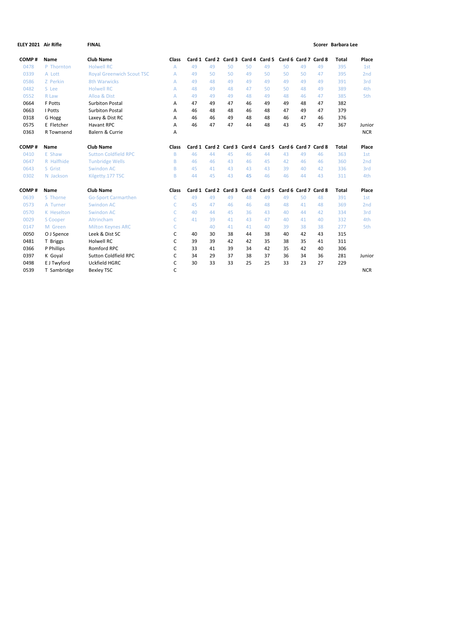| ELEY 2021 Air Rifle |              | <b>FINAL</b>                     |       |    |                                                         |    |        |        |    |                      |    | Scorer Barbara Lee |                 |
|---------------------|--------------|----------------------------------|-------|----|---------------------------------------------------------|----|--------|--------|----|----------------------|----|--------------------|-----------------|
| COMP#               | Name         | <b>Club Name</b>                 | Class |    | Card 1 Card 2 Card 3 Card 4 Card 5 Card 6 Card 7 Card 8 |    |        |        |    |                      |    | <b>Total</b>       | Place           |
| 0478                | P Thornton   | <b>Holwell RC</b>                | A     | 49 | 49                                                      | 50 | 50     | 49     | 50 | 49                   | 49 | 395                | 1st             |
| 0339                | A Lott       | <b>Royal Greenwich Scout TSC</b> | A     | 49 | 50                                                      | 50 | 49     | 50     | 50 | 50                   | 47 | 395                | 2 <sub>nd</sub> |
| 0586                | Z Perkin     | <b>8th Warwicks</b>              | A     | 49 | 48                                                      | 49 | 49     | 49     | 49 | 49                   | 49 | 391                | 3rd             |
| 0482                | S Lee        | <b>Holwell RC</b>                | A     | 48 | 49                                                      | 48 | 47     | 50     | 50 | 48                   | 49 | 389                | 4th             |
| 0552                | <b>R</b> Law | Alloa & Dist                     | A     | 49 | 49                                                      | 49 | 48     | 49     | 48 | 46                   | 47 | 385                | 5th             |
| 0664                | F Potts      | <b>Surbiton Postal</b>           | Α     | 47 | 49                                                      | 47 | 46     | 49     | 49 | 48                   | 47 | 382                |                 |
| 0663                | I Potts      | <b>Surbiton Postal</b>           | A     | 46 | 48                                                      | 48 | 46     | 48     | 47 | 49                   | 47 | 379                |                 |
| 0318                | G Hogg       | Laxey & Dist RC                  | A     | 46 | 46                                                      | 49 | 48     | 48     | 46 | 47                   | 46 | 376                |                 |
| 0575                | E Fletcher   | <b>Havant RPC</b>                | A     | 46 | 47                                                      | 47 | 44     | 48     | 43 | 45                   | 47 | 367                | Junior          |
| 0363                | R Townsend   | Balern & Currie                  | A     |    |                                                         |    |        |        |    |                      |    |                    | <b>NCR</b>      |
| COMP#               | Name         | <b>Club Name</b>                 | Class |    | Card 1 Card 2 Card 3 Card 4 Card 5                      |    |        |        |    | Card 6 Card 7 Card 8 |    | <b>Total</b>       | Place           |
| 0410                | E Shaw       | <b>Sutton Coldfield RPC</b>      | B     | 46 | 44                                                      | 45 | 46     | 44     | 43 | 49                   | 46 | 363                | 1st             |
| 0647                | R Halfhide   | <b>Tunbridge Wells</b>           | B     | 46 | 46                                                      | 43 | 46     | 45     | 42 | 46                   | 46 | 360                | 2 <sub>nd</sub> |
| 0643                | S Grist      | <b>Swindon AC</b>                | B     | 45 | 41                                                      | 43 | 43     | 43     | 39 | 40                   | 42 | 336                | 3rd             |
| 0302                | N Jackson    | Kilgetty.177 TSC                 | B     | 44 | 45                                                      | 43 | 45     | 46     | 46 | 44                   | 43 | 311                | 4th             |
| COMP#               | Name         | <b>Club Name</b>                 | Class |    | Card 1 Card 2 Card 3                                    |    | Card 4 | Card 5 |    | Card 6 Card 7 Card 8 |    | <b>Total</b>       | Place           |
| 0639                | S Thorne     | <b>Go-Sport Carmarthen</b>       | C     | 49 | 49                                                      | 49 | 48     | 49     | 49 | 50                   | 48 | 391                | 1st             |
| 0573                | A Turner     | <b>Swindon AC</b>                | C     | 45 | 47                                                      | 46 | 46     | 48     | 48 | 41                   | 48 | 369                | 2 <sub>nd</sub> |
| 0570                | K Heselton   | <b>Swindon AC</b>                | C     | 40 | 44                                                      | 45 | 36     | 43     | 40 | 44                   | 42 | 334                | 3rd             |
| 0029                | S Cooper     | Altrincham                       | C     | 41 | 39                                                      | 41 | 43     | 47     | 40 | 41                   | 40 | 332                | 4th             |
| 0147                | M Green      | <b>Milton Keynes ARC</b>         | C     |    | 40                                                      | 41 | 41     | 40     | 39 | 38                   | 38 | 277                | 5th             |
| 0050                | O J Spence   | Leek & Dist SC                   | C     | 40 | 30                                                      | 38 | 44     | 38     | 40 | 42                   | 43 | 315                |                 |
| 0481                | T Briggs     | <b>Holwell RC</b>                | C     | 39 | 39                                                      | 42 | 42     | 35     | 38 | 35                   | 41 | 311                |                 |
| 0366                | P Phillips   | Romford RPC                      | C     | 33 | 41                                                      | 39 | 34     | 42     | 35 | 42                   | 40 | 306                |                 |
| 0397                | K Goyal      | Sutton Coldfield RPC             | C     | 34 | 29                                                      | 37 | 38     | 37     | 36 | 34                   | 36 | 281                | Junior          |
| 0498                | E J Twyford  | Uckfield HGRC                    | C     | 30 | 33                                                      | 33 | 25     | 25     | 33 | 23                   | 27 | 229                |                 |
| 0539                | T Sambridge  | <b>Bexley TSC</b>                | C     |    |                                                         |    |        |        |    |                      |    |                    | <b>NCR</b>      |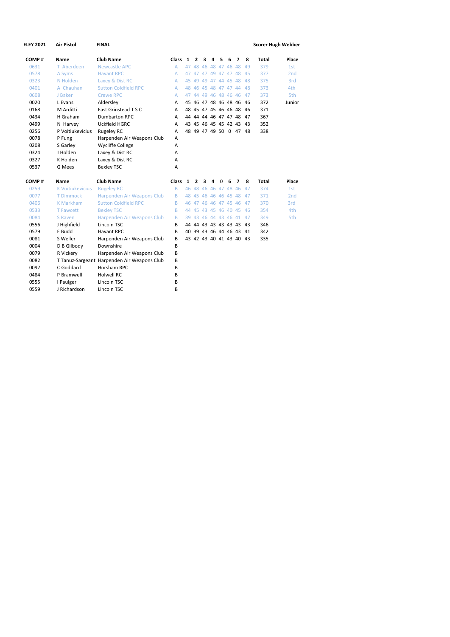| <b>ELEY 2021</b> | <b>Air Pistol</b>       | <b>FINAL</b>                                |       |    |                |   |   |                   |   |                         |    | <b>Scorer Hugh Webber</b> |        |
|------------------|-------------------------|---------------------------------------------|-------|----|----------------|---|---|-------------------|---|-------------------------|----|---------------------------|--------|
| COMP#            | Name                    | <b>Club Name</b>                            | Class | 1  | $\mathbf{2}$   | 3 | 4 | 5                 | 6 | 7                       | 8  | <b>Total</b>              | Place  |
| 0631             | T Aberdeen              | <b>Newcastle APC</b>                        | A     | 47 |                |   |   | 48 46 48 47 46 48 |   |                         | 49 | 379                       | 1st    |
| 0578             | A Syms                  | <b>Havant RPC</b>                           | A     |    |                |   |   |                   |   | 47 47 47 49 47 47 48 45 |    | 377                       | 2nd    |
| 0323             | N Holden                | Laxey & Dist RC                             | A     |    |                |   |   |                   |   | 45 49 49 47 44 45 48    | 48 | 375                       | 3rd    |
| 0401             | A Chauhan               | <b>Sutton Coldfield RPC</b>                 | A     |    |                |   |   |                   |   | 48 46 45 48 47 47 44    | 48 | 373                       | 4th    |
| 0608             | J Baker                 | <b>Crewe RPC</b>                            | A     |    |                |   |   |                   |   | 47 44 49 46 48 46 46    | 47 | 373                       | 5th    |
| 0020             | L Evans                 | Aldersley                                   | A     |    |                |   |   |                   |   | 45 46 47 48 46 48 46 46 |    | 372                       | Junior |
| 0168             | M Arditti               | East Grinstead T S C                        | A     |    |                |   |   |                   |   | 48 45 47 45 46 46 48 46 |    | 371                       |        |
| 0434             | H Graham                | <b>Dumbarton RPC</b>                        | A     |    |                |   |   |                   |   | 44 44 44 46 47 47 48 47 |    | 367                       |        |
| 0499             | N Harvey                | Uckfield HGRC                               | A     |    |                |   |   |                   |   | 43 45 46 45 45 42 43 43 |    | 352                       |        |
| 0256             | P Voitiukevicius        | <b>Rugeley RC</b>                           | A     |    |                |   |   |                   |   | 48 49 47 49 50 0 47 48  |    | 338                       |        |
| 0078             | P Fung                  | Harpenden Air Weapons Club                  | A     |    |                |   |   |                   |   |                         |    |                           |        |
| 0208             | S Garley                | <b>Wycliffe College</b>                     | A     |    |                |   |   |                   |   |                         |    |                           |        |
| 0324             | J Holden                | Laxey & Dist RC                             | A     |    |                |   |   |                   |   |                         |    |                           |        |
| 0327             | K Holden                | Laxey & Dist RC                             | A     |    |                |   |   |                   |   |                         |    |                           |        |
| 0537             | G Mees                  | <b>Bexley TSC</b>                           | A     |    |                |   |   |                   |   |                         |    |                           |        |
| COMP#            | Name                    | <b>Club Name</b>                            | Class | 1  | $\overline{2}$ | 3 | 4 | 0                 | 6 | 7                       | 8  | <b>Total</b>              | Place  |
| 0259             | <b>K Voitiukevicius</b> | <b>Rugeley RC</b>                           | B     |    |                |   |   |                   |   | 46 48 46 46 47 48 46    | 47 | 374                       | 1st    |
| 0077             | <b>T Dimmock</b>        | Harpenden Air Weapons Club                  | B     |    |                |   |   |                   |   | 48 45 46 46 46 45 48    | 47 | 371                       | 2nd    |
| 0406             | <b>K Markham</b>        | <b>Sutton Coldfield RPC</b>                 | B     |    |                |   |   |                   |   | 46 47 46 46 47 45 46    | 47 | 370                       | 3rd    |
| 0533             | <b>T Fawcett</b>        | <b>Bexley TSC</b>                           | B     |    |                |   |   |                   |   | 44 45 43 45 46 40 45 46 |    | 354                       | 4th    |
| 0084             | S Raven                 | Harpenden Air Weapons Club                  | B     |    |                |   |   |                   |   | 39 43 46 44 43 46 41 47 |    | 349                       | 5th    |
| 0556             | J Highfield             | Lincoln TSC                                 | B     |    |                |   |   |                   |   | 44 44 43 43 43 43 43 43 |    | 346                       |        |
| 0579             | E Budd                  | <b>Havant RPC</b>                           | B     |    |                |   |   |                   |   | 40 39 43 46 44 46 43 41 |    | 342                       |        |
| 0081             | S Weller                | Harpenden Air Weapons Club                  | B     |    |                |   |   |                   |   | 43 42 43 40 41 43 40 43 |    | 335                       |        |
| 0004             | D B Gilbody             | Downshire                                   | B     |    |                |   |   |                   |   |                         |    |                           |        |
| 0079             | R Vickery               | Harpenden Air Weapons Club                  | B     |    |                |   |   |                   |   |                         |    |                           |        |
| 0082             |                         | T Tanuz-Sargeant Harpenden Air Weapons Club | B     |    |                |   |   |                   |   |                         |    |                           |        |
| 0097             | C Goddard               | Horsham RPC                                 | B     |    |                |   |   |                   |   |                         |    |                           |        |
| 0484             | P Bramwell              | <b>Holwell RC</b>                           | B     |    |                |   |   |                   |   |                         |    |                           |        |
| 0555             | I Paulger               | Lincoln TSC                                 | B     |    |                |   |   |                   |   |                         |    |                           |        |
| 0559             | J Richardson            | Lincoln TSC                                 | B     |    |                |   |   |                   |   |                         |    |                           |        |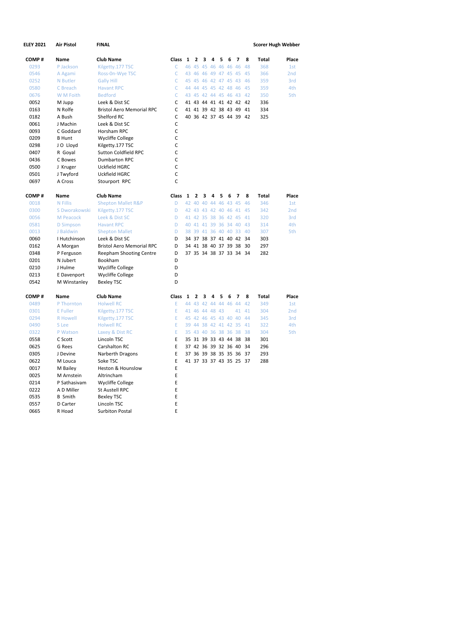| <b>ELEY 2021</b> | Air Pistol       | <b>FINAL</b>                     |              |   |              |                      |   |   |   |                         |    | <b>Scorer Hugh Webber</b> |                 |
|------------------|------------------|----------------------------------|--------------|---|--------------|----------------------|---|---|---|-------------------------|----|---------------------------|-----------------|
| COMP#            | Name             | <b>Club Name</b>                 | Class 1      |   | $\mathbf{z}$ | з                    | 4 | 5 | 6 | 7                       | 8  | <b>Total</b>              | Place           |
| 0293             | P Jackson        | Kilgetty.177 TSC                 | C            |   |              | 46 45 45 46 46 46 46 |   |   |   |                         | 48 | 368                       | 1st             |
| 0546             | A Agami          | Ross-On-Wye TSC                  | C            |   |              | 43 46 46 49 47 45 45 |   |   |   |                         | 45 | 366                       | 2 <sub>nd</sub> |
| 0252             | N Butler         | <b>Gally Hill</b>                | $\mathsf{C}$ |   |              | 45 45 46 42 47 45 43 |   |   |   |                         | 46 | 359                       | 3rd             |
| 0580             | C Breach         | <b>Havant RPC</b>                | C            |   |              | 44 44 45 45 42 48 46 |   |   |   |                         | 45 | 359                       | 4th             |
| 0676             | W M Foith        | <b>Bedford</b>                   | C            |   |              |                      |   |   |   | 43 45 42 44 45 46 43    | 42 | 350                       | 5th             |
| 0052             | M Jupp           | Leek & Dist SC                   | C            |   |              |                      |   |   |   | 41 43 44 41 41 42 42 42 |    | 336                       |                 |
| 0163             | N Rolfe          | <b>Bristol Aero Memorial RPC</b> | $\mathsf{C}$ |   |              |                      |   |   |   | 41 41 39 42 38 43 49 41 |    | 334                       |                 |
| 0182             | A Bush           | Shelford RC                      | C            |   |              |                      |   |   |   | 40 36 42 37 45 44 39 42 |    | 325                       |                 |
| 0061             | J Machin         | Leek & Dist SC                   | C            |   |              |                      |   |   |   |                         |    |                           |                 |
| 0093             | C Goddard        | Horsham RPC                      | $\mathsf C$  |   |              |                      |   |   |   |                         |    |                           |                 |
| 0209             | <b>B</b> Hunt    | <b>Wycliffe College</b>          | C            |   |              |                      |   |   |   |                         |    |                           |                 |
| 0298             | J O Lloyd        | Kilgetty.177 TSC                 | C            |   |              |                      |   |   |   |                         |    |                           |                 |
| 0407             | R Goyal          | <b>Sutton Coldfield RPC</b>      | C            |   |              |                      |   |   |   |                         |    |                           |                 |
| 0436             | C Bowes          | <b>Dumbarton RPC</b>             | C            |   |              |                      |   |   |   |                         |    |                           |                 |
| 0500             | J Kruger         | Uckfield HGRC                    | C            |   |              |                      |   |   |   |                         |    |                           |                 |
| 0501             | J Twyford        | Uckfield HGRC                    | C            |   |              |                      |   |   |   |                         |    |                           |                 |
| 0697             | A Cross          | Stourport RPC                    | $\mathsf{C}$ |   |              |                      |   |   |   |                         |    |                           |                 |
| COMP#            | Name             | <b>Club Name</b>                 | Class        | 1 | $\mathbf{2}$ | 3                    | 4 | 5 | 6 | 7                       | 8  | Total                     | Place           |
| 0018             | N Fillis         | <b>Shepton Mallet R&amp;P</b>    | D            |   |              | 42 40 40 44 46 43 45 |   |   |   |                         | 46 | 346                       | 1st             |
| 0300             | S Dworakowski    | Kilgetty.177 TSC                 | D            |   |              | 42 43 43 42 40 46 41 |   |   |   |                         | 45 | 342                       | 2 <sub>nd</sub> |
| 0056             | M Peacock        | Leek & Dist SC                   | D            |   |              | 41 42 35 38 36 42 45 |   |   |   |                         | 41 | 320                       | 3rd             |
| 0581             | <b>D</b> Simpson | <b>Havant RPC</b>                | D            |   |              |                      |   |   |   | 40 41 41 39 36 34 40    | 43 | 314                       | 4th             |
| 0013             | J Baldwin        | <b>Shepton Mallet</b>            | D            |   |              | 38 39 41 36 40 40 33 |   |   |   |                         | 40 | 307                       | 5th             |
| 0060             | I Hutchinson     | Leek & Dist SC                   | D            |   |              | 34 37 38 37 41 40 42 |   |   |   |                         | 34 | 303                       |                 |
| 0162             | A Morgan         | <b>Bristol Aero Memorial RPC</b> | D            |   |              | 34 41 38 40 37 39 38 |   |   |   |                         | 30 | 297                       |                 |
| 0348             | P Ferguson       | Reepham Shooting Centre          | D            |   |              |                      |   |   |   | 37 35 34 38 37 33 34 34 |    | 282                       |                 |
| 0201             | N Jubert         | Bookham                          | D            |   |              |                      |   |   |   |                         |    |                           |                 |
| 0210             | J Hulme          | <b>Wycliffe College</b>          | D            |   |              |                      |   |   |   |                         |    |                           |                 |
| 0213             | E Davenport      | Wycliffe College                 | D            |   |              |                      |   |   |   |                         |    |                           |                 |
| 0542             | M Winstanley     | <b>Bexley TSC</b>                | D            |   |              |                      |   |   |   |                         |    |                           |                 |
| COMP#            | Name             | <b>Club Name</b>                 | Class        | 1 | $\mathbf{z}$ | 3                    | 4 | 5 | 6 | 7                       | 8  | <b>Total</b>              | Place           |
| 0489             | P Thornton       | <b>Holwell RC</b>                | Ε            |   |              | 44 43 42 44 44 46 44 |   |   |   |                         | 42 | 349                       | 1st             |
| 0301             | E Fuller         | Kilgetty.177 TSC                 | E            |   |              | 41 46 44 48 43       |   |   |   | 41                      | 41 | 304                       | 2 <sub>nd</sub> |
| 0294             | <b>R</b> Howell  | Kilgetty.177 TSC                 | E            |   |              | 45 42 46 45 43 40 40 |   |   |   |                         | 44 | 345                       | 3rd             |
| 0490             | S Lee            | <b>Holwell RC</b>                | E            |   |              | 39 44 38 42 41 42 35 |   |   |   |                         | 41 | 322                       | 4th             |
| 0322             | P Watson         | Laxey & Dist RC                  | E            |   |              | 35 43 40 36 38 36 38 |   |   |   |                         | 38 | 304                       | 5th             |
| 0558             | C Scott          | Lincoln TSC                      | E            |   |              | 35 31 39 33 43 44 38 |   |   |   |                         | 38 | 301                       |                 |
| 0625             | G Rees           | Carshalton RC                    | E            |   |              | 37 42 36 39 32 36    |   |   |   | -40                     | 34 | 296                       |                 |
| 0305             | J Devine         | Narberth Dragons                 | E            |   |              |                      |   |   |   | 37 36 39 38 35 35 36 37 |    | 293                       |                 |
| 0622             | M Louca          | Soke TSC                         | E            |   |              |                      |   |   |   | 41 37 33 37 43 35 25 37 |    | 288                       |                 |
| 0017             | M Bailey         | Heston & Hounslow                | E            |   |              |                      |   |   |   |                         |    |                           |                 |
| 0025             | M Arnstein       | Altrincham                       | E            |   |              |                      |   |   |   |                         |    |                           |                 |
| 0214             | P Sathasivam     | <b>Wycliffe College</b>          | E            |   |              |                      |   |   |   |                         |    |                           |                 |
| 0222             | A D Miller       | <b>St Austell RPC</b>            | E            |   |              |                      |   |   |   |                         |    |                           |                 |
| 0535             | <b>B</b> Smith   | <b>Bexley TSC</b>                | Ε            |   |              |                      |   |   |   |                         |    |                           |                 |
| 0557             | D Carter         | Lincoln TSC                      | E            |   |              |                      |   |   |   |                         |    |                           |                 |
| 0665             | R Hoad           | <b>Surbiton Postal</b>           | E            |   |              |                      |   |   |   |                         |    |                           |                 |
|                  |                  |                                  |              |   |              |                      |   |   |   |                         |    |                           |                 |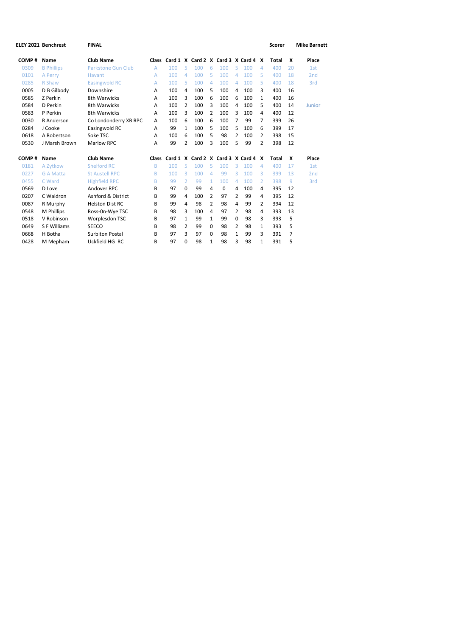| <b>ELEY 2021 Benchrest</b> | <b>FINAL</b>              |   |     |          |     |                |     |   |     |              | <b>Scorer</b>                                                                    |    | <b>Mike Barnett</b> |
|----------------------------|---------------------------|---|-----|----------|-----|----------------|-----|---|-----|--------------|----------------------------------------------------------------------------------|----|---------------------|
| <b>Name</b>                | <b>Club Name</b>          |   |     |          |     |                |     |   |     |              | Total                                                                            | X  | Place               |
| <b>B</b> Phillips          | <b>Parkstone Gun Club</b> | A | 100 | 5        | 100 | 6              | 100 | 5 | 100 | 4            | 400                                                                              | 20 | 1st                 |
| A Perry                    | Havant                    | A | 100 | 4        | 100 | 5.             | 100 | 4 | 100 | 5            | 400                                                                              | 18 | 2 <sub>nd</sub>     |
| R Shaw                     | Easingwold RC             | A | 100 | 5        | 100 | 4              | 100 | 4 | 100 | 5            | 400                                                                              | 18 | 3rd                 |
| D B Gilbody                | Downshire                 | A | 100 | 4        | 100 | 5              | 100 | 4 | 100 | ς            | 400                                                                              | 16 |                     |
| Z Perkin                   | 8th Warwicks              | A | 100 | 3        | 100 | 6              | 100 | 6 | 100 | $\mathbf{1}$ | 400                                                                              | 16 |                     |
| D Perkin                   | 8th Warwicks              | A | 100 | 2        | 100 | 3              | 100 | 4 | 100 | 5            | 400                                                                              |    | Junior              |
| P Perkin                   | 8th Warwicks              | A | 100 | 3        | 100 | 2              | 100 | 3 | 100 | 4            | 400                                                                              | 12 |                     |
| R Anderson                 | Co Londonderry XB RPC     | A | 100 | 6        | 100 | 6              | 100 | 7 | 99  | 7            | 399                                                                              | 26 |                     |
| J Cooke                    | Easingwold RC             | A | 99  | 1        | 100 | 5              | 100 | 5 | 100 | 6            | 399                                                                              | 17 |                     |
| A Robertson                | Soke TSC                  | A | 100 | 6        | 100 | 5              | 98  | 2 | 100 | 2            | 398                                                                              | 15 |                     |
| J Marsh Brown              | <b>Marlow RPC</b>         | A | 99  | 2        | 100 | 3              | 100 | 5 | 99  | 2            | 398                                                                              | 12 |                     |
| <b>Name</b>                | <b>Club Name</b>          |   |     |          |     |                |     |   |     |              | Total                                                                            | X  | Place               |
| A Zytkow                   | Shelford RC               | B | 100 | 5        | 100 | 5              | 100 | 3 | 100 | 4            | 400                                                                              | 17 | 1st                 |
| <b>G A Matta</b>           | <b>St Austell RPC</b>     | B | 100 | 3        | 100 | 4              | 99  | 3 | 100 | 3            | 399                                                                              | 13 | 2 <sub>nd</sub>     |
| C Ward                     | <b>Highfield RPC</b>      | B | 99  | 2        | 99  | $\mathbf{1}$   | 100 | 4 | 100 | 2            | 398                                                                              | 9  | 3rd                 |
| D Love                     | Andover RPC               | B | 97  | $\Omega$ | 99  | 4              | 0   | 4 | 100 | 4            | 395                                                                              | 12 |                     |
| C Waldron                  | Ashford & District        | B | 99  | 4        | 100 | 2              | 97  | 2 | 99  | 4            | 395                                                                              | 12 |                     |
| R Murphy                   | <b>Helston Dist RC</b>    | B | 99  | 4        | 98  | $\overline{2}$ | 98  | 4 | 99  | 2            | 394                                                                              | 12 |                     |
| M Phillips                 | Ross-On-Wye TSC           | B | 98  | 3        | 100 | 4              | 97  | 2 | 98  | 4            | 393                                                                              | 13 |                     |
| V Robinson                 | Worplesdon TSC            | B | 97  | 1        | 99  | $\mathbf{1}$   | 99  | 0 | 98  | 3            | 393                                                                              | 5  |                     |
| S F Williams               | <b>SEECO</b>              | B | 98  | 2        | 99  | 0              | 98  | 2 | 98  | $\mathbf{1}$ | 393                                                                              | 5  |                     |
| H Botha                    | <b>Surbiton Postal</b>    | B | 97  | 3        | 97  | $\Omega$       | 98  | 1 | 99  | 3            | 391                                                                              | 7  |                     |
| M Mepham                   | Uckfield HG RC            | B | 97  | $\Omega$ | 98  | 1              | 98  | 3 | 98  | $\mathbf{1}$ | 391                                                                              | 5  |                     |
|                            |                           |   |     | Class    |     |                |     |   |     |              | Card 1 X Card 2 X Card 3 X Card 4 X<br>Class Card 1 X Card 2 X Card 3 X Card 4 X |    | 14                  |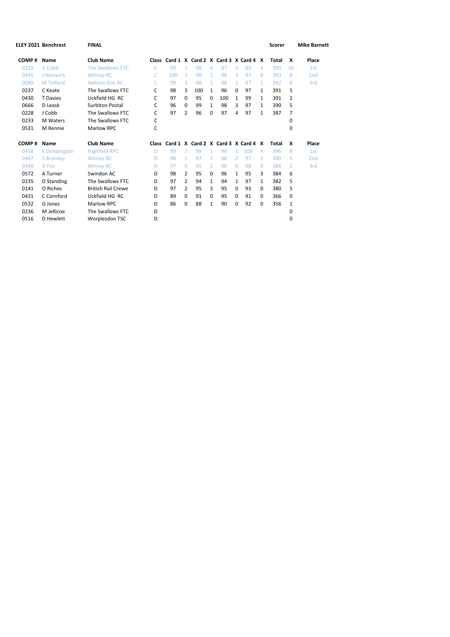|       | <b>ELEY 2021 Benchrest</b> | <b>FINAL</b>              |       |     |                |     |              |     |               |                                           |              | <b>Scorer</b> |    | <b>Mike Barnett</b> |
|-------|----------------------------|---------------------------|-------|-----|----------------|-----|--------------|-----|---------------|-------------------------------------------|--------------|---------------|----|---------------------|
| COMP# | Name                       | <b>Club Name</b>          |       |     |                |     |              |     |               | Class Card 1 X Card 2 X Card 3 X Card 4 X |              | Total         | x  | Place               |
| 0229  | V Cobb                     | <b>The Swallows FTC</b>   | C     | 99  | 1              | 98  | 4            | 97  | 2             | 99                                        | 3            | 393           | 10 | 1st                 |
| 0445  | J Warwick                  | <b>Witney RC</b>          | C     | 100 | 3              | 98  | 2            | 98  | 3             | 97                                        | $\Omega$     | 393           | 8  | 2 <sub>nd</sub>     |
| 0089  | M Telford                  | <b>Helston Dist RC</b>    | C     | 99  | 3              | 98  | $\mathbf{1}$ | 98  | 1             | 97                                        | $\mathbf{1}$ | 392           | 6  | 3rd                 |
| 0237  | C Keate                    | The Swallows FTC          | C     | 98  | 3              | 100 | $\mathbf{1}$ | 96  | $\Omega$      | 97                                        | 1            | 391           | 5  |                     |
| 0430  | <b>T</b> Davies            | Uckfield HG RC            | C     | 97  | 0              | 95  | 0            | 100 | 1             | 99                                        | 1            | 391           | 2  |                     |
| 0666  | D Leask                    | <b>Surbiton Postal</b>    | C     | 96  | 0              | 99  | $\mathbf{1}$ | 98  | 3             | 97                                        | $\mathbf{1}$ | 390           | 5  |                     |
| 0228  | J Cobb                     | The Swallows FTC          | C     | 97  | 2              | 96  | $\Omega$     | 97  | 4             | 97                                        | 1            | 387           | 7  |                     |
| 0233  | M Waters                   | The Swallows FTC          | С     |     |                |     |              |     |               |                                           |              |               | 0  |                     |
| 0531  | M Rennie                   | <b>Marlow RPC</b>         | С     |     |                |     |              |     |               |                                           |              |               | 0  |                     |
| COMP# | Name                       | <b>Club Name</b>          | Class |     |                |     |              |     |               | Card 1 X Card 2 X Card 3 X Card 4 X       |              | <b>Total</b>  | X  | Place               |
| 0458  | <b>K</b> Doddington        | <b>Highfield RPC</b>      | D     | 99  | 2              | 99  | $\mathbf{1}$ | 98  |               | 100                                       | 4            | 396           | 8  | 1st                 |
| 0447  | <b>S</b> Bramley           | <b>Witney RC</b>          | D     | 98  | 1              | 97  | $\mathbf{1}$ | 98  | $\mathcal{P}$ | 97                                        | $\mathbf{1}$ | 390           | 5  | 2 <sub>nd</sub>     |
| 0448  | D Fox                      | <b>Witney RC</b>          | D     | 97  | 0              | 95  | 2            | 96  | $\Omega$      | 98                                        | $\Omega$     | 386           | 2  | 3rd                 |
| 0572  | A Turner                   | Swindon AC                | D     | 98  | 2              | 95  | $\Omega$     | 96  | $\mathbf{1}$  | 95                                        | 3            | 384           | 6  |                     |
| 0235  | D Standing                 | The Swallows FTC          | D     | 97  | 2              | 94  | $\mathbf{1}$ | 94  | 1             | 97                                        | $\mathbf{1}$ | 382           | 5  |                     |
| 0141  | O Riches                   | <b>British Rail Crewe</b> | D     | 97  | $\overline{2}$ | 95  | 3            | 95  | $\Omega$      | 93                                        | $\Omega$     | 380           | 5  |                     |
| 0431  | C Cornford                 | Uckfield HG RC            | D     | 89  | 0              | 91  | $\Omega$     | 95  | 0             | 91                                        | $\Omega$     | 366           | 0  |                     |
| 0532  | G Jones                    | <b>Marlow RPC</b>         | D     | 86  | 0              | 88  | $\mathbf{1}$ | 90  | $\Omega$      | 92                                        | $\Omega$     | 356           | 1  |                     |
| 0236  | M Jellicoe                 | The Swallows FTC          | D     |     |                |     |              |     |               |                                           |              |               | 0  |                     |
| 0516  | D Hewlett                  | Worplesdon TSC            | D     |     |                |     |              |     |               |                                           |              |               | 0  |                     |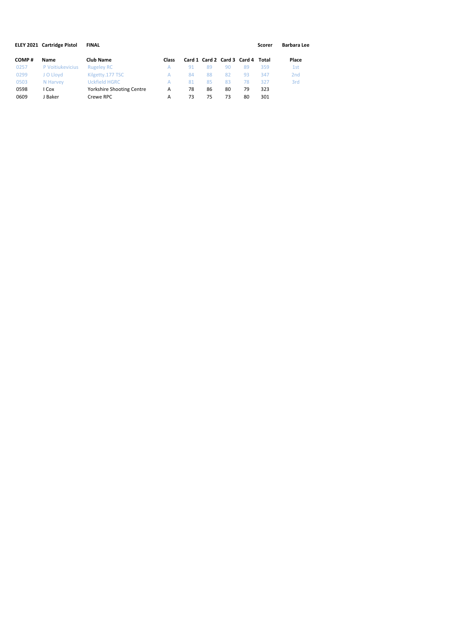|       | <b>ELEY 2021 Cartridge Pistol</b> | <b>FINAL</b>                     |       |    |    |    |                                   | Scorer | Barbara Lee     |
|-------|-----------------------------------|----------------------------------|-------|----|----|----|-----------------------------------|--------|-----------------|
| COMP# | Name                              | <b>Club Name</b>                 | Class |    |    |    | Card 1 Card 2 Card 3 Card 4 Total |        | Place           |
| 0257  | P Voitiukevicius                  | <b>Rugeley RC</b>                | А     | 91 | 89 | 90 | 89                                | 359    | 1st             |
| 0299  | J O Llovd                         | Kilgetty.177 TSC                 | А     | 84 | 88 | 82 | 93                                | 347    | 2 <sub>nd</sub> |
| 0503  | N Harvey                          | <b>Uckfield HGRC</b>             | А     | 81 | 85 | 83 | 78                                | 327    | 3rd             |
| 0598  | Cox                               | <b>Yorkshire Shooting Centre</b> | A     | 78 | 86 | 80 | 79                                | 323    |                 |
| 0609  | J Baker                           | Crewe RPC                        | А     | 73 | 75 | 73 | 80                                | 301    |                 |